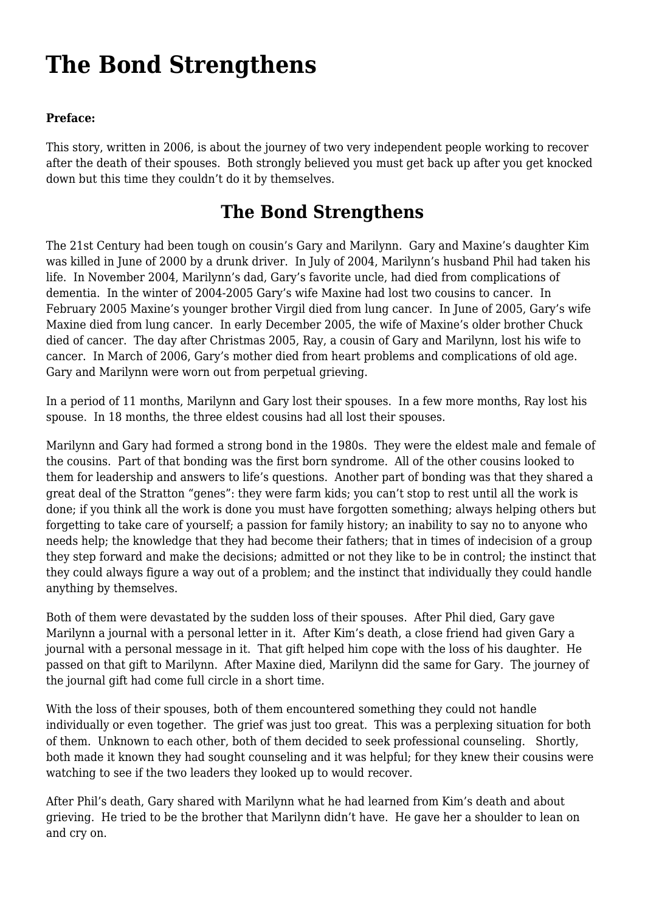## **[The Bond Strengthens](https://www.garystrattonfirefighter.com/2016/03/02/the-bond-strengthens/)**

## **Preface:**

This story, written in 2006, is about the journey of two very independent people working to recover after the death of their spouses. Both strongly believed you must get back up after you get knocked down but this time they couldn't do it by themselves.

## **The Bond Strengthens**

The 21st Century had been tough on cousin's Gary and Marilynn. Gary and Maxine's daughter Kim was killed in June of 2000 by a drunk driver. In July of 2004, Marilynn's husband Phil had taken his life. In November 2004, Marilynn's dad, Gary's favorite uncle, had died from complications of dementia. In the winter of 2004-2005 Gary's wife Maxine had lost two cousins to cancer. In February 2005 Maxine's younger brother Virgil died from lung cancer. In June of 2005, Gary's wife Maxine died from lung cancer. In early December 2005, the wife of Maxine's older brother Chuck died of cancer. The day after Christmas 2005, Ray, a cousin of Gary and Marilynn, lost his wife to cancer. In March of 2006, Gary's mother died from heart problems and complications of old age. Gary and Marilynn were worn out from perpetual grieving.

In a period of 11 months, Marilynn and Gary lost their spouses. In a few more months, Ray lost his spouse. In 18 months, the three eldest cousins had all lost their spouses.

Marilynn and Gary had formed a strong bond in the 1980s. They were the eldest male and female of the cousins. Part of that bonding was the first born syndrome. All of the other cousins looked to them for leadership and answers to life's questions. Another part of bonding was that they shared a great deal of the Stratton "genes": they were farm kids; you can't stop to rest until all the work is done; if you think all the work is done you must have forgotten something; always helping others but forgetting to take care of yourself; a passion for family history; an inability to say no to anyone who needs help; the knowledge that they had become their fathers; that in times of indecision of a group they step forward and make the decisions; admitted or not they like to be in control; the instinct that they could always figure a way out of a problem; and the instinct that individually they could handle anything by themselves.

Both of them were devastated by the sudden loss of their spouses. After Phil died, Gary gave Marilynn a journal with a personal letter in it. After Kim's death, a close friend had given Gary a journal with a personal message in it. That gift helped him cope with the loss of his daughter. He passed on that gift to Marilynn. After Maxine died, Marilynn did the same for Gary. The journey of the journal gift had come full circle in a short time.

With the loss of their spouses, both of them encountered something they could not handle individually or even together. The grief was just too great. This was a perplexing situation for both of them. Unknown to each other, both of them decided to seek professional counseling. Shortly, both made it known they had sought counseling and it was helpful; for they knew their cousins were watching to see if the two leaders they looked up to would recover.

After Phil's death, Gary shared with Marilynn what he had learned from Kim's death and about grieving. He tried to be the brother that Marilynn didn't have. He gave her a shoulder to lean on and cry on.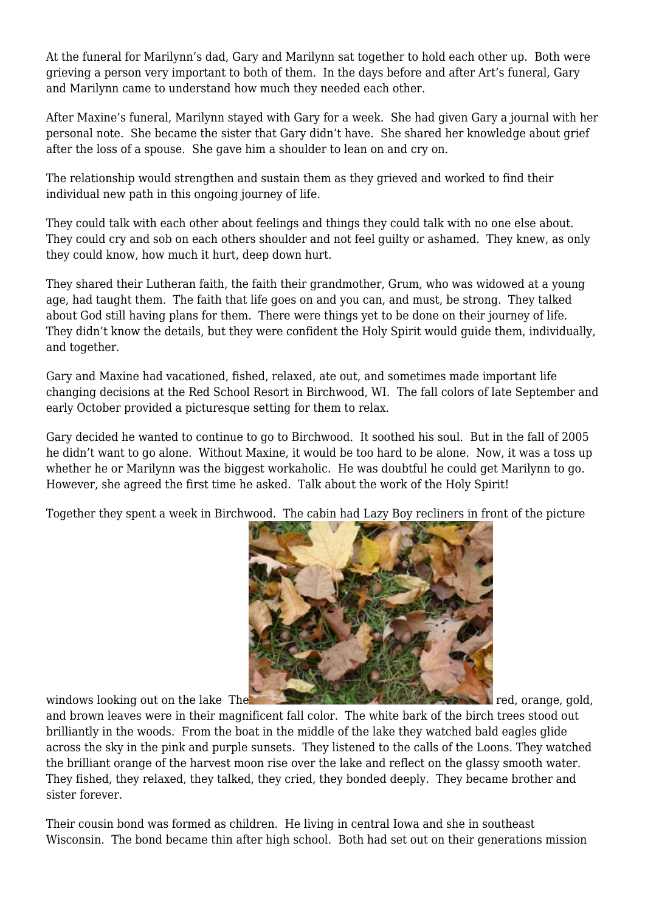At the funeral for Marilynn's dad, Gary and Marilynn sat together to hold each other up. Both were grieving a person very important to both of them. In the days before and after Art's funeral, Gary and Marilynn came to understand how much they needed each other.

After Maxine's funeral, Marilynn stayed with Gary for a week. She had given Gary a journal with her personal note. She became the sister that Gary didn't have. She shared her knowledge about grief after the loss of a spouse. She gave him a shoulder to lean on and cry on.

The relationship would strengthen and sustain them as they grieved and worked to find their individual new path in this ongoing journey of life.

They could talk with each other about feelings and things they could talk with no one else about. They could cry and sob on each others shoulder and not feel guilty or ashamed. They knew, as only they could know, how much it hurt, deep down hurt.

They shared their Lutheran faith, the faith their grandmother, Grum, who was widowed at a young age, had taught them. The faith that life goes on and you can, and must, be strong. They talked about God still having plans for them. There were things yet to be done on their journey of life. They didn't know the details, but they were confident the Holy Spirit would guide them, individually, and together.

Gary and Maxine had vacationed, fished, relaxed, ate out, and sometimes made important life changing decisions at the Red School Resort in Birchwood, WI. The fall colors of late September and early October provided a picturesque setting for them to relax.

Gary decided he wanted to continue to go to Birchwood. It soothed his soul. But in the fall of 2005 he didn't want to go alone. Without Maxine, it would be too hard to be alone. Now, it was a toss up whether he or Marilynn was the biggest workaholic. He was doubtful he could get Marilynn to go. However, she agreed the first time he asked. Talk about the work of the Holy Spirit!

Together they spent a week in Birchwood. The cabin had Lazy Boy recliners in front of the picture



windows looking out on the lake The red, orange, gold,

and brown leaves were in their magnificent fall color. The white bark of the birch trees stood out brilliantly in the woods. From the boat in the middle of the lake they watched bald eagles glide across the sky in the pink and purple sunsets. They listened to the calls of the Loons. They watched the brilliant orange of the harvest moon rise over the lake and reflect on the glassy smooth water. They fished, they relaxed, they talked, they cried, they bonded deeply. They became brother and sister forever.

Their cousin bond was formed as children. He living in central Iowa and she in southeast Wisconsin. The bond became thin after high school. Both had set out on their generations mission